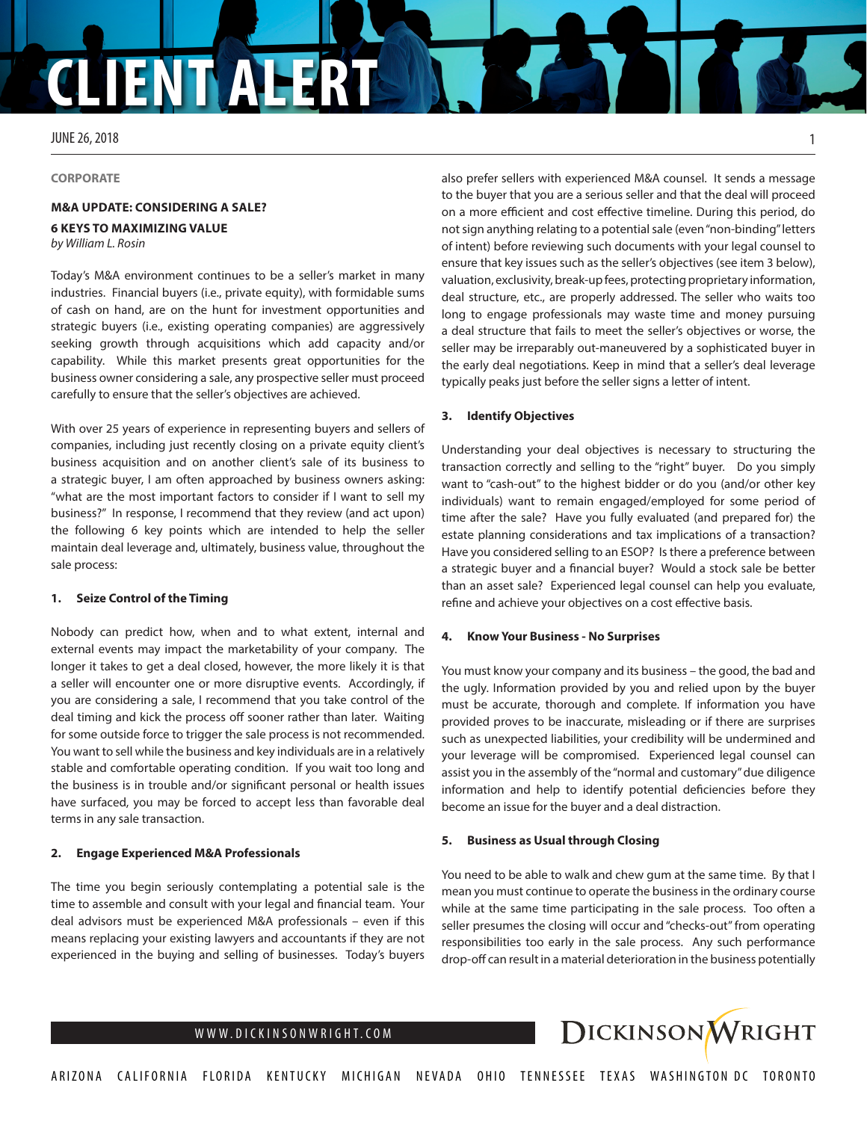# **CLIENT ALERT**

JUNE 26, 2018

**CORPORATE**

### **M&A UPDATE: CONSIDERING A SALE? 6 KEYS TO MAXIMIZING VALUE**

*by William L. Rosin*

Today's M&A environment continues to be a seller's market in many industries. Financial buyers (i.e., private equity), with formidable sums of cash on hand, are on the hunt for investment opportunities and strategic buyers (i.e., existing operating companies) are aggressively seeking growth through acquisitions which add capacity and/or capability. While this market presents great opportunities for the business owner considering a sale, any prospective seller must proceed carefully to ensure that the seller's objectives are achieved.

With over 25 years of experience in representing buyers and sellers of companies, including just recently closing on a private equity client's business acquisition and on another client's sale of its business to a strategic buyer, I am often approached by business owners asking: "what are the most important factors to consider if I want to sell my business?" In response, I recommend that they review (and act upon) the following 6 key points which are intended to help the seller maintain deal leverage and, ultimately, business value, throughout the sale process:

#### **1. Seize Control of the Timing**

Nobody can predict how, when and to what extent, internal and external events may impact the marketability of your company. The longer it takes to get a deal closed, however, the more likely it is that a seller will encounter one or more disruptive events. Accordingly, if you are considering a sale, I recommend that you take control of the deal timing and kick the process off sooner rather than later. Waiting for some outside force to trigger the sale process is not recommended. You want to sell while the business and key individuals are in a relatively stable and comfortable operating condition. If you wait too long and the business is in trouble and/or significant personal or health issues have surfaced, you may be forced to accept less than favorable deal terms in any sale transaction.

#### **2. Engage Experienced M&A Professionals**

The time you begin seriously contemplating a potential sale is the time to assemble and consult with your legal and financial team. Your deal advisors must be experienced M&A professionals – even if this means replacing your existing lawyers and accountants if they are not experienced in the buying and selling of businesses. Today's buyers

also prefer sellers with experienced M&A counsel. It sends a message to the buyer that you are a serious seller and that the deal will proceed on a more efficient and cost effective timeline. During this period, do not sign anything relating to a potential sale (even "non-binding" letters of intent) before reviewing such documents with your legal counsel to ensure that key issues such as the seller's objectives (see item 3 below), valuation, exclusivity, break-up fees, protecting proprietary information, deal structure, etc., are properly addressed. The seller who waits too long to engage professionals may waste time and money pursuing a deal structure that fails to meet the seller's objectives or worse, the seller may be irreparably out-maneuvered by a sophisticated buyer in the early deal negotiations. Keep in mind that a seller's deal leverage typically peaks just before the seller signs a letter of intent.

#### **3. Identify Objectives**

Understanding your deal objectives is necessary to structuring the transaction correctly and selling to the "right" buyer. Do you simply want to "cash-out" to the highest bidder or do you (and/or other key individuals) want to remain engaged/employed for some period of time after the sale? Have you fully evaluated (and prepared for) the estate planning considerations and tax implications of a transaction? Have you considered selling to an ESOP? Is there a preference between a strategic buyer and a financial buyer? Would a stock sale be better than an asset sale? Experienced legal counsel can help you evaluate, refine and achieve your objectives on a cost effective basis.

#### **4. Know Your Business - No Surprises**

You must know your company and its business – the good, the bad and the ugly. Information provided by you and relied upon by the buyer must be accurate, thorough and complete. If information you have provided proves to be inaccurate, misleading or if there are surprises such as unexpected liabilities, your credibility will be undermined and your leverage will be compromised. Experienced legal counsel can assist you in the assembly of the "normal and customary" due diligence information and help to identify potential deficiencies before they become an issue for the buyer and a deal distraction.

#### **5. Business as Usual through Closing**

You need to be able to walk and chew gum at the same time. By that I mean you must continue to operate the business in the ordinary course while at the same time participating in the sale process. Too often a seller presumes the closing will occur and "checks-out" from operating responsibilities too early in the sale process. Any such performance drop-off can result in a material deterioration in the business potentially



1